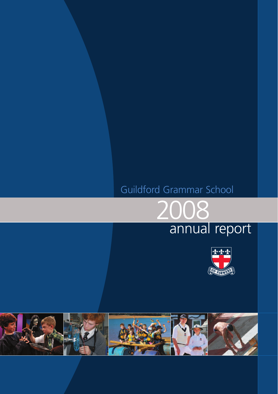# Guildford Grammar School



# annual report



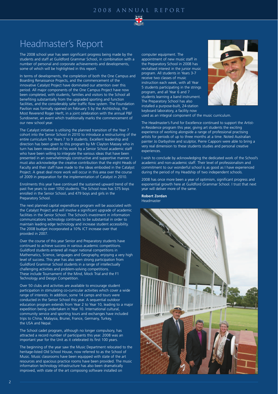

# Headmaster's Report

The 2008 school year has seen significant progress being made by the students and staff at Guildford Grammar School, in combination with a number of personal and corporate achievements and developments, some of which will be highlighted in this report.

In terms of developments, the completion of both the One Campus and Boarding Renaissance Projects, and the commencement of the innovative Catalyst Project have dominated our attention over this period. All major components of the One Campus Project have now been completed, with students, families and visitors to the School all benefiting substantially from the upgraded sporting and function facilities, and the considerably safer traffic flow system. The Foundation Pavilion was formally opened on February 5 by the Archbishop, the Most Reverend Roger Herft, in a joint celebration with the annual P&F Sundowner, an event which traditionally marks the commencement of our new school year.

The Catalyst initiative is utilising the planned transition of the Year 7 cohort into the Senior School in 2010 to introduce a restructuring of the entire curriculum for Years 7 to 9 students. Excellent leadership and direction has been given to this program by Mr Clayton Massey who in turn has been rewarded in his work by a Senior School academic staff who have been willing to integrate the various ideas that have been presented in an overwhelmingly constructive and supportive manner. I must also acknowledge the creative contribution that the eight Heads of Faculty and their staff have made to the ideas embodied in the Catalyst Project. A great deal more work will occur in this area over the course of 2009 in preparation for the implementation of Catalyst in 2010.

Enrolments this year have continued the sustained upward trend of the past five years to over 1050 students. The School now has 575 boys enrolled in the Senior School, and 479 boys and girls in the Preparatory School.

The next planned capital expenditure program will be associated with the Catalyst Project and will involve a significant upgrade of academic facilities in the Senior School. The School's investment in information communications technology continues to be substantial in order to maintain leading edge technology and increase student accessibility. The 2008 budget incorporated a 10% ICT increase over that provided in 2007.

Over the course of this year Senior and Preparatory students have continued to achieve success in various academic competitions. Guildford students entered all major national competitions in Mathematics, Science, languages and Geography, enjoying a very high level of success. This year has also seen strong participation from Guildford Grammar School students in a range of intellectually challenging activities and problem-solving competitions. These include Tournament of the Mind, Mock Trial and the F1 Technology and Design Competition.

Over 50 clubs and activities are available to encourage student participation in stimulating co-curricular activities which cover a wide range of interests. In addition, some 14 camps and tours were conducted in the Senior School this year. A sequential outdoor education program extends from Year 2 to Year 10, leading to a major expedition being undertaken in Year 10. International cultural, community service and sporting tours and exchanges have included trips to China, Malaysia, Brunei, France, Germany, Turkey, the USA and Nepal.

The School cadet program, although no longer compulsory, has attracted a record number of participants this year. 2008 was an important year for the Unit as it celebrated its first 100 years.

The beginning of the year saw the Music Department relocated to the heritage-listed Old School House, now referred to as the School of Music. Music classrooms have been equipped with state of the art resources and spacious practice rooms have been provided. The music information technology infrastructure has also been dramatically improved, with state of the art composing software installed on

computer equipment. The

appointment of new music staff in the Preparatory School in 2008 has revitalised interest in the junior music program. All students in Years 3-7 receive two classes of music instruction each week, with all Year 5 students participating in the strings program, and all Year 6 and 7 students learning a band instrument. The Preparatory School has also installed a purpose-built, 24-station keyboard laboratory, a facility now



used as an integral component of the music curriculum.

The Headmaster's Fund for Excellence continued to support the Artistin-Residence program this year, giving art students the exciting experience of working alongside a range of professional practising artists for periods of up to three months at a time. Noted Australian painter Jo Darbyshire and sculptor, Pierre Capponi were able to bring a very real dimension to these students studies and personal creative experiences.

I wish to conclude by acknowledging the dedicated work of the School's academic and non-academic staff. Their level of professionalism and commitment to our wonderful school is as good as I have experienced during the period of my Headship of two independent schools.

2008 has once more been a year of optimism, significant progress and exponential growth here at Guildford Grammar School. I trust that next year will deliver more of the same.

#### **Robert Zordan** Headmaster

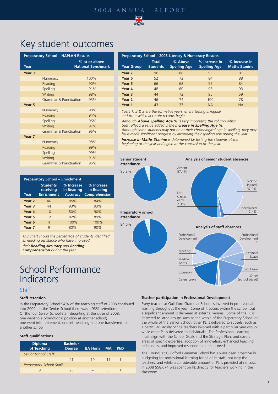# 2008 annual report



# Key student outcomes

| <b>Preparatory School - NAPLAN Results</b> |                                  |                                            |  |
|--------------------------------------------|----------------------------------|--------------------------------------------|--|
| Year                                       |                                  | % at or above<br><b>National Benchmark</b> |  |
| Year <sub>3</sub>                          |                                  |                                            |  |
|                                            | Numeracy                         | 100%                                       |  |
|                                            | Reading                          | 90%                                        |  |
|                                            | Spelling                         | 91%                                        |  |
|                                            | Writing                          | 98%                                        |  |
|                                            | <b>Grammar &amp; Punctuation</b> | 93%                                        |  |
| Year <sub>5</sub>                          |                                  |                                            |  |
|                                            | Numeracy                         | 98%                                        |  |
|                                            | Reading                          | 94%                                        |  |
|                                            | Spelling                         | 96%                                        |  |
|                                            | Writing                          | 97%                                        |  |
|                                            | <b>Grammar &amp; Punctuation</b> | 96%                                        |  |
| Year 7                                     |                                  |                                            |  |
|                                            | Numeracy                         | 98%                                        |  |
|                                            | Reading                          | 99%                                        |  |
|                                            | Spelling                         | 99%                                        |  |
|                                            | Writing                          | 91%                                        |  |
|                                            | Grammar & Punctuation            | 95%                                        |  |

| <b>Preparatory School - Enrichment</b> |                                                   |                                             |                                           |  |
|----------------------------------------|---------------------------------------------------|---------------------------------------------|-------------------------------------------|--|
| Year                                   | <b>Students</b><br>receiving<br><b>Enrichment</b> | % Increase<br>in Reading<br><b>Accuracy</b> | % Increase<br>in Reading<br>Comprehension |  |
| Year <sub>2</sub>                      | 46                                                | 85%                                         | 84%                                       |  |
| Year <sub>3</sub>                      | 44                                                | 93%                                         | 93%                                       |  |
| Year 4                                 | 10                                                | 80%                                         | 90%                                       |  |
| Year 5                                 | 12                                                | 82%                                         | 89%                                       |  |
| Year 6                                 | $\overline{4}$                                    | 100%                                        | 100%                                      |  |
| Year <sub>7</sub>                      | 9                                                 | 80%                                         | 90%                                       |  |
|                                        |                                                   |                                             |                                           |  |

*This chart shows the percentage of students identified as needing assistance who have improved* 

*their Reading Accuracy and Reading*

*Comprehension during the year.* 

# School Performance Indicators

## Staff

#### **Staff retention**

In the Preparatory School 94% of the teaching staff of 2008 continued into 2009. In the Senior School there was a 93% retention rate. Of the four Senior School staff departing at the close of 2008, one went to a promotional position at another school; one went into retirement, one left teaching and one transferred to another school.

#### **Staff qualifications**

| <b>Diploma</b><br>of Teaching | <b>Bachelor</b><br><b>Degree</b> | <b>BA Hons</b> | <b>MA</b> | <b>PhD</b> |  |
|-------------------------------|----------------------------------|----------------|-----------|------------|--|
| Senior School Staff:          |                                  |                |           |            |  |
|                               | 41                               | $10^{-}$       | 11        |            |  |
| Preparatory School Staff:     |                                  |                |           |            |  |
|                               | 23.                              |                | 3         |            |  |
|                               |                                  |                |           |            |  |

| <b>Preparatory School – 2008 Literacy &amp; Numeracy Results</b> |                                 |                                |                                      |                                       |  |
|------------------------------------------------------------------|---------------------------------|--------------------------------|--------------------------------------|---------------------------------------|--|
| <b>Year Group</b>                                                | <b>Total</b><br><b>Students</b> | % Above<br><b>Spelling Age</b> | % Increase in<br><b>Spelling Age</b> | % Increase in<br><b>Maths Stanine</b> |  |
| Year <sub>7</sub>                                                | 90                              | 88                             | 93                                   | 81                                    |  |
| Year <sub>6</sub>                                                | 52                              | 72                             | 84                                   | 88                                    |  |
| Year 5                                                           | 66                              | 68                             | 95                                   | 84                                    |  |
| Year 4                                                           | 48                              | 60                             | 93                                   | 93                                    |  |
| Year <sub>3</sub>                                                | 44                              | 72                             | 95                                   | 59                                    |  |
| Year <sub>2</sub>                                                | 46                              | 74                             | 100                                  | 78                                    |  |
| Year 1                                                           | 43                              | 37                             | <b>NA</b>                            | <b>NA</b>                             |  |

*Years 1, 2 & 3 are the formative years where testing is regular and from which accurate records begin.*

*Although Above Spelling Age % is very important; the column which best reflects a value added is the Increase in Spelling Age %. Although some students may not be at their chronological age in spelling, they may have made significant progress by increasing their spelling age during the year. Increase in Maths Stanine is determined by testing the students at the*

*beginning of the year and again at the conclusion of the year.*



#### **Analysis of senior student absences**



#### **Analysis of staff absences**



#### **Teacher participation in Professional Development**

Every teacher at Guildford Grammar School is involved in professional learning throughout the year. Some of it occurs within the school, but a significant amount is delivered at external venues. Some of the PL is delivered to large groups such as the whole of the Preparatory School or the whole of the Senior School; other PL is delivered to subsets, such as a particular Faculty or the teachers involved with a particular year group; while other PL is delivered to individuals. The Professional Learning must align with the School Goals and the Strategic Plan, and covers areas of specific expertise, adoption of innovation, enhanced teaching techniques, and improved response to student needs.

The Council at Guildford Grammar School has always been proactive in budgeting for professional learning for all of its staff, not only the teachers, and while a considerable amount of PL is provided at no cost, in 2008 \$58,674 was spent on PL directly for teachers working in the classroom.